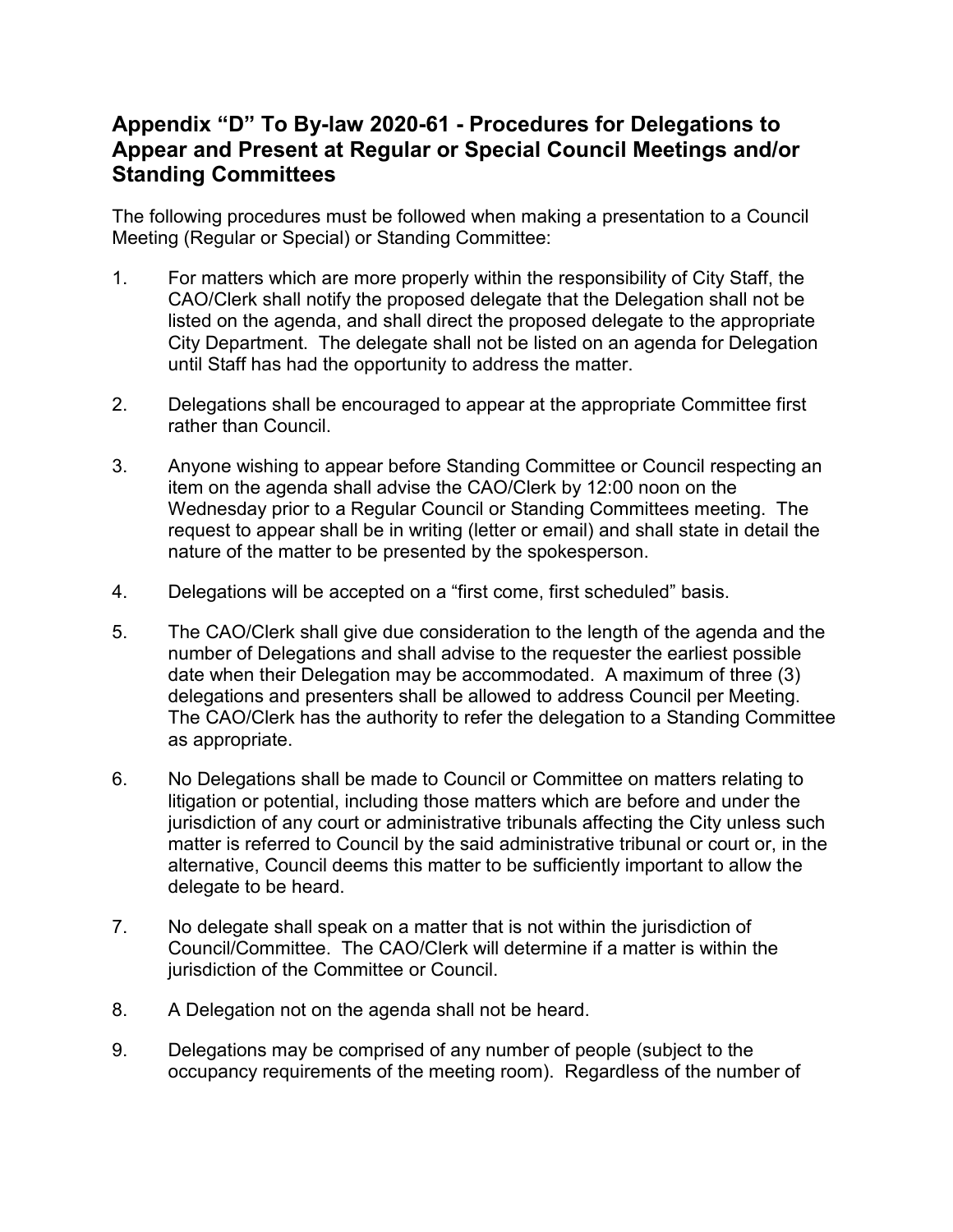## **Appendix "D" To By-law 2020-61 - Procedures for Delegations to Appear and Present at Regular or Special Council Meetings and/or Standing Committees**

The following procedures must be followed when making a presentation to a Council Meeting (Regular or Special) or Standing Committee:

- 1. For matters which are more properly within the responsibility of City Staff, the CAO/Clerk shall notify the proposed delegate that the Delegation shall not be listed on the agenda, and shall direct the proposed delegate to the appropriate City Department. The delegate shall not be listed on an agenda for Delegation until Staff has had the opportunity to address the matter.
- 2. Delegations shall be encouraged to appear at the appropriate Committee first rather than Council.
- 3. Anyone wishing to appear before Standing Committee or Council respecting an item on the agenda shall advise the CAO/Clerk by 12:00 noon on the Wednesday prior to a Regular Council or Standing Committees meeting. The request to appear shall be in writing (letter or email) and shall state in detail the nature of the matter to be presented by the spokesperson.
- 4. Delegations will be accepted on a "first come, first scheduled" basis.
- 5. The CAO/Clerk shall give due consideration to the length of the agenda and the number of Delegations and shall advise to the requester the earliest possible date when their Delegation may be accommodated. A maximum of three (3) delegations and presenters shall be allowed to address Council per Meeting. The CAO/Clerk has the authority to refer the delegation to a Standing Committee as appropriate.
- 6. No Delegations shall be made to Council or Committee on matters relating to litigation or potential, including those matters which are before and under the jurisdiction of any court or administrative tribunals affecting the City unless such matter is referred to Council by the said administrative tribunal or court or, in the alternative, Council deems this matter to be sufficiently important to allow the delegate to be heard.
- 7. No delegate shall speak on a matter that is not within the jurisdiction of Council/Committee. The CAO/Clerk will determine if a matter is within the jurisdiction of the Committee or Council.
- 8. A Delegation not on the agenda shall not be heard.
- 9. Delegations may be comprised of any number of people (subject to the occupancy requirements of the meeting room). Regardless of the number of